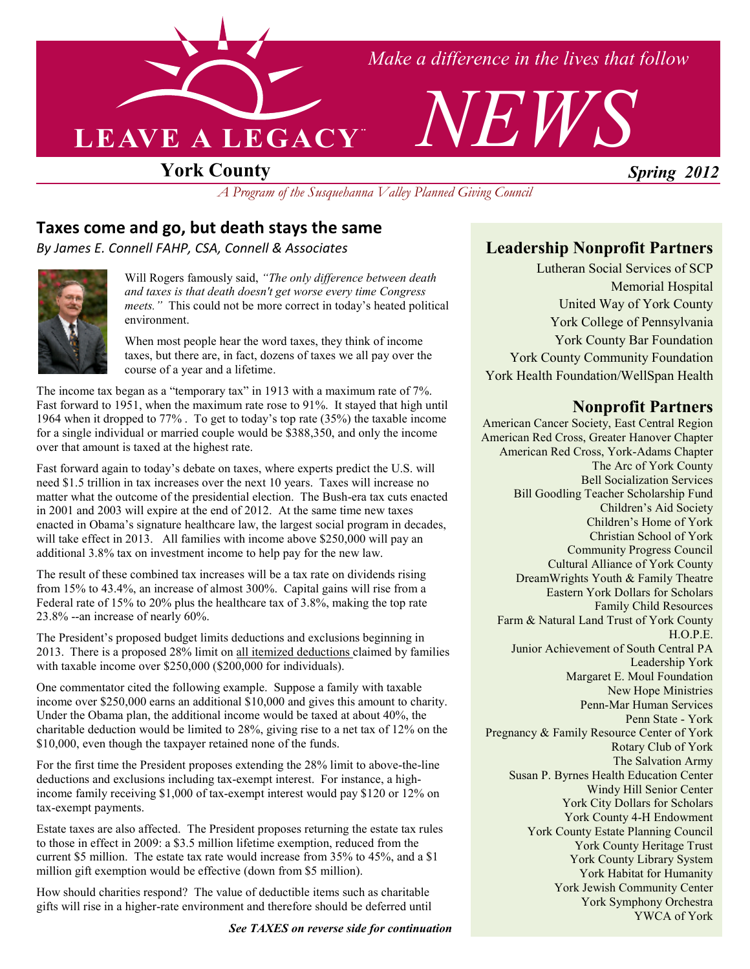

*Make a difference in the lives that follow*



## **York County**

*A Program of the Susquehanna Valley Planned Giving Council* 

### **Taxes come and go, but death stays the same**

*By James E. Connell FAHP, CSA, Connell & Associates*



Will Rogers famously said, *"The only difference between death and taxes is that death doesn't get worse every time Congress meets."* This could not be more correct in today's heated political environment.

When most people hear the word taxes, they think of income taxes, but there are, in fact, dozens of taxes we all pay over the course of a year and a lifetime.

The income tax began as a "temporary tax" in 1913 with a maximum rate of 7%. Fast forward to 1951, when the maximum rate rose to 91%. It stayed that high until 1964 when it dropped to 77% . To get to today's top rate (35%) the taxable income for a single individual or married couple would be \$388,350, and only the income over that amount is taxed at the highest rate.

Fast forward again to today's debate on taxes, where experts predict the U.S. will need \$1.5 trillion in tax increases over the next 10 years. Taxes will increase no matter what the outcome of the presidential election. The Bush-era tax cuts enacted in 2001 and 2003 will expire at the end of 2012. At the same time new taxes enacted in Obama's signature healthcare law, the largest social program in decades, will take effect in 2013. All families with income above \$250,000 will pay an additional 3.8% tax on investment income to help pay for the new law.

The result of these combined tax increases will be a tax rate on dividends rising from 15% to 43.4%, an increase of almost 300%. Capital gains will rise from a Federal rate of 15% to 20% plus the healthcare tax of 3.8%, making the top rate 23.8% --an increase of nearly 60%.

The President's proposed budget limits deductions and exclusions beginning in 2013. There is a proposed 28% limit on all itemized deductions claimed by families with taxable income over \$250,000 (\$200,000 for individuals).

One commentator cited the following example. Suppose a family with taxable income over \$250,000 earns an additional \$10,000 and gives this amount to charity. Under the Obama plan, the additional income would be taxed at about 40%, the charitable deduction would be limited to 28%, giving rise to a net tax of 12% on the \$10,000, even though the taxpayer retained none of the funds.

For the first time the President proposes extending the 28% limit to above-the-line deductions and exclusions including tax-exempt interest. For instance, a highincome family receiving \$1,000 of tax-exempt interest would pay \$120 or 12% on tax-exempt payments.

Estate taxes are also affected. The President proposes returning the estate tax rules to those in effect in 2009: a \$3.5 million lifetime exemption, reduced from the current \$5 million. The estate tax rate would increase from 35% to 45%, and a \$1 million gift exemption would be effective (down from \$5 million).

How should charities respond? The value of deductible items such as charitable gifts will rise in a higher-rate environment and therefore should be deferred until

*See TAXES on reverse side for continuation* 

### **Leadership Nonprofit Partners**

Lutheran Social Services of SCP Memorial Hospital United Way of York County York College of Pennsylvania York County Bar Foundation York County Community Foundation York Health Foundation/WellSpan Health

#### **onprofit Partners**

American Cancer Society, East Central Region American Red Cross, Greater Hanover Chapter American Red Cross, York-Adams Chapter The Arc of York County Bell Socialization Services Bill Goodling Teacher Scholarship Fund Children's Aid Society Children's Home of York Christian School of York Community Progress Council Cultural Alliance of York County DreamWrights Youth & Family Theatre Eastern York Dollars for Scholars Family Child Resources Farm & Natural Land Trust of York County H.O.P.E. Junior Achievement of South Central PA Leadership York Margaret E. Moul Foundation New Hope Ministries Penn-Mar Human Services Penn State - York Pregnancy & Family Resource Center of York Rotary Club of York The Salvation Army Susan P. Byrnes Health Education Center Windy Hill Senior Center York City Dollars for Scholars York County 4-H Endowment York County Estate Planning Council York County Heritage Trust York County Library System York Habitat for Humanity York Jewish Community Center York Symphony Orchestra YWCA of York